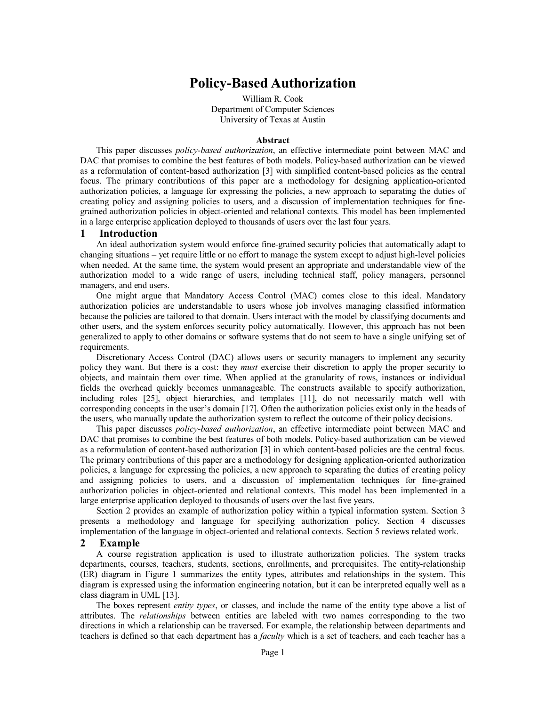# **Policy-Based Authorization**

William R. Cook Department of Computer Sciences University of Texas at Austin

#### **Abstract**

This paper discusses *policy-based authorization*, an effective intermediate point between MAC and DAC that promises to combine the best features of both models. Policy-based authorization can be viewed as a reformulation of content-based authorization [3] with simplified content-based policies as the central focus. The primary contributions of this paper are a methodology for designing application-oriented authorization policies, a language for expressing the policies, a new approach to separating the duties of creating policy and assigning policies to users, and a discussion of implementation techniques for finegrained authorization policies in object-oriented and relational contexts. This model has been implemented in a large enterprise application deployed to thousands of users over the last four years.

## **1 Introduction**

An ideal authorization system would enforce fine-grained security policies that automatically adapt to changing situations – yet require little or no effort to manage the system except to adjust high-level policies when needed. At the same time, the system would present an appropriate and understandable view of the authorization model to a wide range of users, including technical staff, policy managers, personnel managers, and end users.

One might argue that Mandatory Access Control (MAC) comes close to this ideal. Mandatory authorization policies are understandable to users whose job involves managing classified information because the policies are tailored to that domain. Users interact with the model by classifying documents and other users, and the system enforces security policy automatically. However, this approach has not been generalized to apply to other domains or software systems that do not seem to have a single unifying set of requirements.

Discretionary Access Control (DAC) allows users or security managers to implement any security policy they want. But there is a cost: they *must* exercise their discretion to apply the proper security to objects, and maintain them over time. When applied at the granularity of rows, instances or individual fields the overhead quickly becomes unmanageable. The constructs available to specify authorization, including roles [25], object hierarchies, and templates [11], do not necessarily match well with corresponding concepts in the user's domain [17]. Often the authorization policies exist only in the heads of the users, who manually update the authorization system to reflect the outcome of their policy decisions.

This paper discusses *policy-based authorization*, an effective intermediate point between MAC and DAC that promises to combine the best features of both models. Policy-based authorization can be viewed as a reformulation of content-based authorization [3] in which content-based policies are the central focus. The primary contributions of this paper are a methodology for designing application-oriented authorization policies, a language for expressing the policies, a new approach to separating the duties of creating policy and assigning policies to users, and a discussion of implementation techniques for fine-grained authorization policies in object-oriented and relational contexts. This model has been implemented in a large enterprise application deployed to thousands of users over the last five years.

Section 2 provides an example of authorization policy within a typical information system. Section 3 presents a methodology and language for specifying authorization policy. Section 4 discusses implementation of the language in object-oriented and relational contexts. Section 5 reviews related work.

## **2 Example**

A course registration application is used to illustrate authorization policies. The system tracks departments, courses, teachers, students, sections, enrollments, and prerequisites. The entity-relationship (ER) diagram in Figure 1 summarizes the entity types, attributes and relationships in the system. This diagram is expressed using the information engineering notation, but it can be interpreted equally well as a class diagram in UML [13].

The boxes represent *entity types*, or classes, and include the name of the entity type above a list of attributes. The *relationships* between entities are labeled with two names corresponding to the two directions in which a relationship can be traversed. For example, the relationship between departments and teachers is defined so that each department has a *faculty* which is a set of teachers, and each teacher has a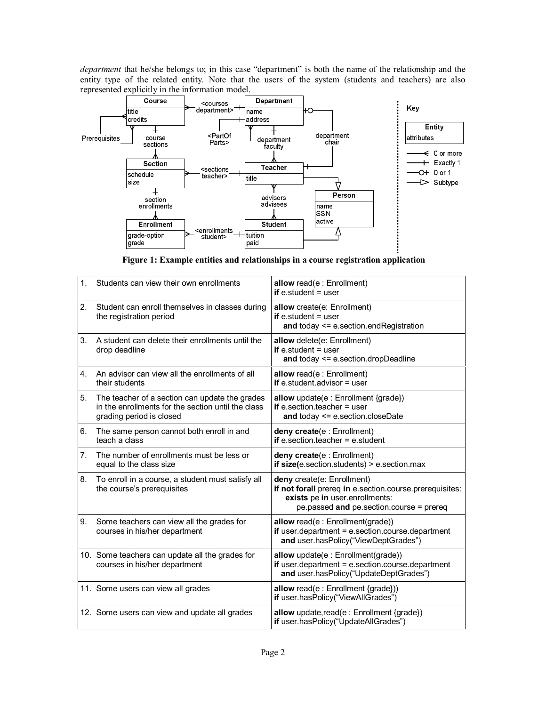*department* that he/she belongs to; in this case "department" is both the name of the relationship and the entity type of the related entity. Note that the users of the system (students and teachers) are also represented explicitly in the information model.



**Figure 1: Example entities and relationships in a course registration application** 

| 1.             | Students can view their own enrollments                                                                                          | allow read(e: Enrollment)<br>if $e$ student = user                                                                                                                  |
|----------------|----------------------------------------------------------------------------------------------------------------------------------|---------------------------------------------------------------------------------------------------------------------------------------------------------------------|
| 2.             | Student can enroll themselves in classes during<br>the registration period                                                       | allow create(e: Enrollment)<br>if $e$ student = user<br>and today <= e.section.endRegistration                                                                      |
| 3.             | A student can delete their enrollments until the<br>drop deadline                                                                | allow delete(e: Enrollment)<br>if $e$ student = user<br>and today <= e.section.dropDeadline                                                                         |
| 4.             | An advisor can view all the enrollments of all<br>their students                                                                 | allow read(e: Enrollment)<br>if e.student.advisor $=$ user                                                                                                          |
| 5.             | The teacher of a section can update the grades<br>in the enrollments for the section until the class<br>grading period is closed | allow update(e : Enrollment {grade})<br>if e.section.teacher $=$ user<br>and today <= e.section.closeDate                                                           |
| 6.             | The same person cannot both enroll in and<br>teach a class                                                                       | deny create(e : Enrollment)<br>if e.section.teacher = $e.$ student                                                                                                  |
| 7 <sub>1</sub> | The number of enrollments must be less or<br>equal to the class size                                                             | deny create(e : Enrollment)<br>if $size(e.section.students) > e.section.max$                                                                                        |
| 8.             | To enroll in a course, a student must satisfy all<br>the course's prerequisites                                                  | deny create(e: Enrollment)<br>if not forall prereq in e.section.course.prerequisites:<br>exists pe in user enrollments:<br>pe.passed and pe.section.course = prereq |
| 9.             | Some teachers can view all the grades for<br>courses in his/her department                                                       | allow read(e: Enrollment(grade))<br>$if user.department = e.section.course.department$<br>and user.hasPolicy("ViewDeptGrades")                                      |
|                | 10. Some teachers can update all the grades for<br>courses in his/her department                                                 | allow update(e: Enrollment(grade))<br>$if user.department = e.section.course.department$<br>and user.hasPolicy("UpdateDeptGrades")                                  |
|                | 11. Some users can view all grades                                                                                               | allow read(e: Enrollment {grade}))<br>if user.hasPolicy("ViewAllGrades")                                                                                            |
|                | 12. Some users can view and update all grades                                                                                    | allow update, read(e: Enrollment {grade})<br>if user.hasPolicy("UpdateAllGrades")                                                                                   |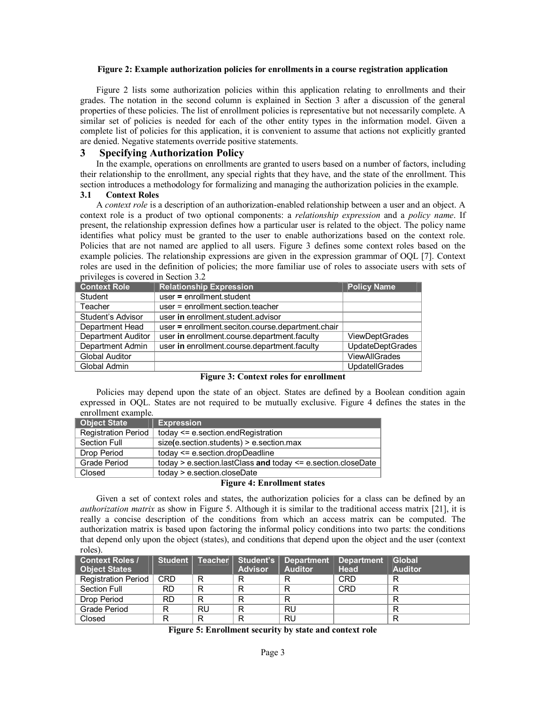## **Figure 2: Example authorization policies for enrollments in a course registration application**

Figure 2 lists some authorization policies within this application relating to enrollments and their grades. The notation in the second column is explained in Section 3 after a discussion of the general properties of these policies. The list of enrollment policies is representative but not necessarily complete. A similar set of policies is needed for each of the other entity types in the information model. Given a complete list of policies for this application, it is convenient to assume that actions not explicitly granted are denied. Negative statements override positive statements.

# **3 Specifying Authorization Policy**

In the example, operations on enrollments are granted to users based on a number of factors, including their relationship to the enrollment, any special rights that they have, and the state of the enrollment. This section introduces a methodology for formalizing and managing the authorization policies in the example.

#### **3.1 Context Roles**

A *context role* is a description of an authorization-enabled relationship between a user and an object. A context role is a product of two optional components: a *relationship expression* and a *policy name*. If present, the relationship expression defines how a particular user is related to the object. The policy name identifies what policy must be granted to the user to enable authorizations based on the context role. Policies that are not named are applied to all users. Figure 3 defines some context roles based on the example policies. The relationship expressions are given in the expression grammar of OQL [7]. Context roles are used in the definition of policies; the more familiar use of roles to associate users with sets of privileges is covered in Section 3.2

| <b>Context Role</b>   | <b>Relationship Expression</b>                    | <b>Policy Name</b>      |
|-----------------------|---------------------------------------------------|-------------------------|
| Student               | $user = enrollment. student$                      |                         |
| Teacher               | user = enrollment.section.teacher                 |                         |
| Student's Advisor     | user in enrollment.student.advisor                |                         |
| Department Head       | user = enrollment.seciton.course.department.chair |                         |
| Department Auditor    | user in enrollment.course.department.faculty      | ViewDeptGrades          |
| Department Admin      | user in enrollment.course.department.faculty      | <b>UpdateDeptGrades</b> |
| <b>Global Auditor</b> |                                                   | <b>ViewAllGrades</b>    |
| Global Admin          |                                                   | <b>UpdatellGrades</b>   |

**Figure 3: Context roles for enrollment** 

Policies may depend upon the state of an object. States are defined by a Boolean condition again expressed in OQL. States are not required to be mutually exclusive. Figure 4 defines the states in the enrollment example.

| <b>Object State</b>        | <b>Expression</b>                                            |  |  |  |
|----------------------------|--------------------------------------------------------------|--|--|--|
| <b>Registration Period</b> | today <= e.section.endRegistration                           |  |  |  |
| <b>Section Full</b>        | size(e.section.students) > e.section.max                     |  |  |  |
| Drop Period                | today <= e.section.dropDeadline                              |  |  |  |
| <b>Grade Period</b>        | today > e.section.lastClass and today <= e.section.closeDate |  |  |  |
| Closed                     | today > e.section.closeDate                                  |  |  |  |

## **Figure 4: Enrollment states**

Given a set of context roles and states, the authorization policies for a class can be defined by an *authorization matrix* as show in Figure 5. Although it is similar to the traditional access matrix [21], it is really a concise description of the conditions from which an access matrix can be computed. The authorization matrix is based upon factoring the informal policy conditions into two parts: the conditions that depend only upon the object (states), and conditions that depend upon the object and the user (context roles).

| <b>Context Roles /</b><br><b>Object States</b> |            | Student Teacher | <b>Advisor</b> | Student's   Department<br><b>Auditor</b> | <b>Department</b><br><b>Head</b> | <b>Global</b><br><b>Auditor</b> |
|------------------------------------------------|------------|-----------------|----------------|------------------------------------------|----------------------------------|---------------------------------|
|                                                |            |                 |                |                                          |                                  |                                 |
| Registration Period                            | <b>CRD</b> | R               |                | R                                        | <b>CRD</b>                       | R                               |
| Section Full                                   | RD.        | R               |                | R                                        | <b>CRD</b>                       | R                               |
| Drop Period                                    | RD.        | R               | R              | R                                        |                                  | R                               |
| Grade Period                                   | R          | RU              | R              | RU                                       |                                  | R                               |
| Closed                                         | R          | R               | R              | <b>RU</b>                                |                                  | R                               |

**Figure 5: Enrollment security by state and context role**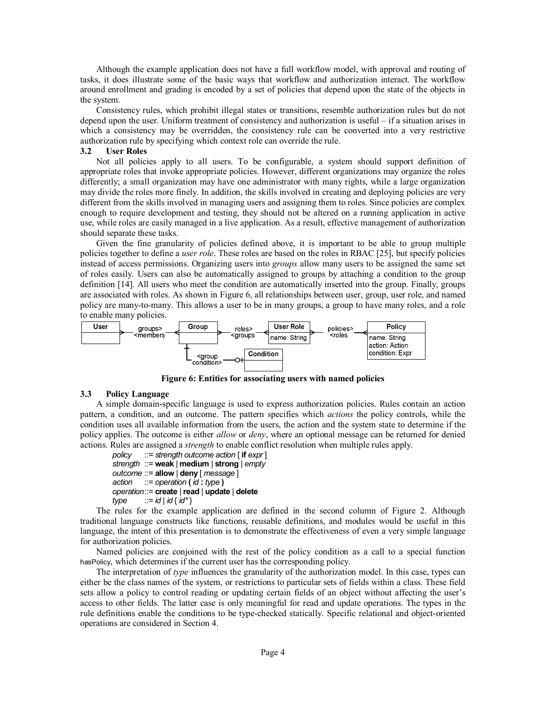Although the example application does not have a full workflow model, with approval and routing of tasks, it does illustrate some of the basic ways that workflow and authorization interact. The workflow around enrollment and grading is encoded by a set of policies that depend upon the state of the objects in the system.

Consistency rules, which prohibit illegal states or transitions, resemble authorization rules but do not depend upon the user. Uniform treatment of consistency and authorization is useful – if a situation arises in which a consistency may be overridden, the consistency rule can be converted into a very restrictive authorization rule by specifying which context role can override the rule.

# **3.2 User Roles**

Not all policies apply to all users. To be configurable, a system should support definition of appropriate roles that invoke appropriate policies. However, different organizations may organize the roles differently; a small organization may have one administrator with many rights, while a large organization may divide the roles more finely. In addition, the skills involved in creating and deploying policies are very different from the skills involved in managing users and assigning them to roles. Since policies are complex enough to require development and testing, they should not be altered on a running application in active use, while roles are easily managed in a live application. As a result, effective management of authorization should separate these tasks.

Given the fine granularity of policies defined above, it is important to be able to group multiple policies together to define a *user role*. These roles are based on the roles in RBAC [25], but specify policies instead of access permissions. Organizing users into *groups* allow many users to be assigned the same set of roles easily. Users can also be automatically assigned to groups by attaching a condition to the group definition [14]. All users who meet the condition are automatically inserted into the group. Finally, groups are associated with roles. As shown in Figure 6, all relationships between user, group, user role, and named policy are many-to-many. This allows a user to be in many groups, a group to have many roles, and a role to enable many policies.



**Figure 6: Entities for associating users with named policies** 

#### **3.3 Policy Language**

A simple domain-specific language is used to express authorization policies. Rules contain an action pattern, a condition, and an outcome. The pattern specifies which *actions* the policy controls, while the condition uses all available information from the users, the action and the system state to determine if the policy applies. The outcome is either *allow* or *deny*, where an optional message can be returned for denied actions. Rules are assigned a *strength* to enable conflict resolution when multiple rules apply.

```
policy ::= strength outcome action [ if expr ] 
strength ::= weak | medium | strong | empty
outcome ::= allow | deny [ message ] 
action ::= operation ( id : type )
operation ::= create |read | update | delete
type ::= id | id { id * }
```
The rules for the example application are defined in the second column of Figure 2. Although traditional language constructs like functions, reusable definitions, and modules would be useful in this language, the intent of this presentation is to demonstrate the effectiveness of even a very simple language for authorization policies.

Named policies are conjoined with the rest of the policy condition as a call to a special function hasPolicy, which determines if the current user has the corresponding policy.

The interpretation of *type* influences the granularity of the authorization model. In this case, types can either be the class names of the system, or restrictions to particular sets of fields within a class. These field sets allow a policy to control reading or updating certain fields of an object without affecting the user's access to other fields. The latter case is only meaningful for read and update operations. The types in the rule definitions enable the conditions to be type-checked statically. Specific relational and object-oriented operations are considered in Section 4.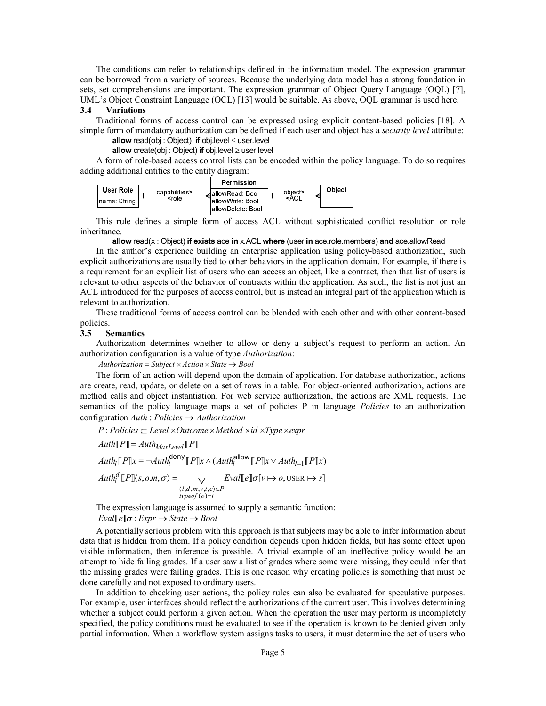The conditions can refer to relationships defined in the information model. The expression grammar can be borrowed from a variety of sources. Because the underlying data model has a strong foundation in sets, set comprehensions are important. The expression grammar of Object Query Language (OQL) [7], UML's Object Constraint Language (OCL) [13] would be suitable. As above, OQL grammar is used here.

## **3.4 Variations**

Traditional forms of access control can be expressed using explicit content-based policies [18]. A simple form of mandatory authorization can be defined if each user and object has a *security level* attribute:

**allow** read(obj: Object) **if** obj.level  $\leq$  user.level

**allow**  $\text{create}(\text{obj} : \text{Object})$  **if**  $\text{obj}.$  level  $\geq$  user.level

A form of role-based access control lists can be encoded within the policy language. To do so requires adding additional entities to the entity diagram:



This rule defines a simple form of access ACL without sophisticated conflict resolution or role inheritance.

## **allow** read(x : Object) **if exists** ace **in** x.ACL **where** (user **in** ace.role.members) **and** ace.allowRead

In the author's experience building an enterprise application using policy-based authorization, such explicit authorizations are usually tied to other behaviors in the application domain. For example, if there is a requirement for an explicit list of users who can access an object, like a contract, then that list of users is relevant to other aspects of the behavior of contracts within the application. As such, the list is not just an ACL introduced for the purposes of access control, but is instead an integral part of the application which is relevant to authorization.

These traditional forms of access control can be blended with each other and with other content-based policies.

#### **3.5 Semantics**

Authorization determines whether to allow or deny a subject's request to perform an action. An authorization configuration is a value of type *Authorization*:

 $Authorization = Subject \times Action \times State \rightarrow Bool$ 

The form of an action will depend upon the domain of application. For database authorization, actions are create, read, update, or delete on a set of rows in a table. For object-oriented authorization, actions are method calls and object instantiation. For web service authorization, the actions are XML requests. The semantics of the policy language maps a set of policies P in language *Policies* to an authorization  $\text{configuration } \text{Authori}$  :  $\text{Policyies} \rightarrow \text{Authorization}$ 

 $\mathcal{A}uth_l[\![P]\!]x = \neg \mathcal{A}uth_l^{\mathsf{deny}}[\![P]\!]x \wedge (\mathcal{A}uth_l^{\mathsf{allow}}[\![P]\!]x \vee \mathcal{A}uth_{l-1}[\![P]\!]x)$ USER  $,d, m, v, t,$  $typeof(o)=t$  $P:$  *Policies*  $\subseteq$  *Level*  $\times$  *Outcome*  $\times$  *Method*  $\times$  *id*  $\times$  *Type*  $\times$  *expr*  $\int_{l}^{d} [P] \langle s, o, m, \sigma \rangle = \qquad \bigvee \qquad \text{Eval} [e] \sigma[v \mapsto o, \text{USER} \mapsto s]$  $\text{Aut}h[\![P]\!] = \text{Aut}h_{\text{MaxLevel}}[\![P]\!]$  $l, d, m, v, t, e \in P$  $\mathcal{A}uth_l^d$   $[ P \rrbracket \langle s, o, m, \sigma \rangle = \n\qquad \qquad \vee \qquad \mathcal{E} val[\![ e ]\!] \sigma[\nu \mapsto o, \text{USER} \mapsto s]$  $\llbracket P \rrbracket \langle s, o.m, \sigma \rangle = \bigvee_{\langle l, d, m, v, t, e \rangle \in P} \text{Eval} \llbracket e \rrbracket \sigma[v \mapsto o, \text{USER} \mapsto \emptyset$ 

The expression language is assumed to supply a semantic function:

 $Eval[\![e]\!] \sigma : Expr \rightarrow State \rightarrow Bool$ 

A potentially serious problem with this approach is that subjects may be able to infer information about data that is hidden from them. If a policy condition depends upon hidden fields, but has some effect upon visible information, then inference is possible. A trivial example of an ineffective policy would be an attempt to hide failing grades. If a user saw a list of grades where some were missing, they could infer that the missing grades were failing grades. This is one reason why creating policies is something that must be done carefully and not exposed to ordinary users.

In addition to checking user actions, the policy rules can also be evaluated for speculative purposes. For example, user interfaces should reflect the authorizations of the current user. This involves determining whether a subject could perform a given action. When the operation the user may perform is incompletely specified, the policy conditions must be evaluated to see if the operation is known to be denied given only partial information. When a workflow system assigns tasks to users, it must determine the set of users who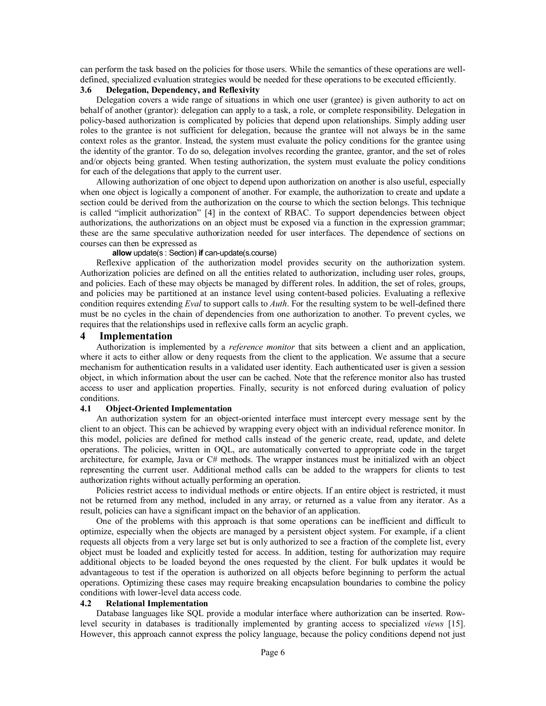can perform the task based on the policies for those users. While the semantics of these operations are welldefined, specialized evaluation strategies would be needed for these operations to be executed efficiently.

# **3.6 Delegation, Dependency, and Reflexivity**

Delegation covers a wide range of situations in which one user (grantee) is given authority to act on behalf of another (grantor): delegation can apply to a task, a role, or complete responsibility. Delegation in policy-based authorization is complicated by policies that depend upon relationships. Simply adding user roles to the grantee is not sufficient for delegation, because the grantee will not always be in the same context roles as the grantor. Instead, the system must evaluate the policy conditions for the grantee using the identity of the grantor. To do so, delegation involves recording the grantee, grantor, and the set of roles and/or objects being granted. When testing authorization, the system must evaluate the policy conditions for each of the delegations that apply to the current user.

Allowing authorization of one object to depend upon authorization on another is also useful, especially when one object is logically a component of another. For example, the authorization to create and update a section could be derived from the authorization on the course to which the section belongs. This technique is called "implicit authorization" [4] in the context of RBAC. To support dependencies between object authorizations, the authorizations on an object must be exposed via a function in the expression grammar; these are the same speculative authorization needed for user interfaces. The dependence of sections on courses can then be expressed as

# **allow** update(s : Section) **if** can-update(s.course)

Reflexive application of the authorization model provides security on the authorization system. Authorization policies are defined on all the entities related to authorization, including user roles, groups, and policies. Each of these may objects be managed by different roles. In addition, the set of roles, groups, and policies may be partitioned at an instance level using content-based policies. Evaluating a reflexive condition requires extending *Eval* to support calls to *Auth*. For the resulting system to be well-defined there must be no cycles in the chain of dependencies from one authorization to another. To prevent cycles, we requires that the relationships used in reflexive calls form an acyclic graph.

# **4 Implementation**

Authorization is implemented by a *reference monitor* that sits between a client and an application, where it acts to either allow or deny requests from the client to the application. We assume that a secure mechanism for authentication results in a validated user identity. Each authenticated user is given a session object, in which information about the user can be cached. Note that the reference monitor also has trusted access to user and application properties. Finally, security is not enforced during evaluation of policy conditions.

# **4.1 Object-Oriented Implementation**

An authorization system for an object-oriented interface must intercept every message sent by the client to an object. This can be achieved by wrapping every object with an individual reference monitor. In this model, policies are defined for method calls instead of the generic create, read, update, and delete operations. The policies, written in OQL, are automatically converted to appropriate code in the target architecture, for example, Java or C# methods. The wrapper instances must be initialized with an object representing the current user. Additional method calls can be added to the wrappers for clients to test authorization rights without actually performing an operation.

Policies restrict access to individual methods or entire objects. If an entire object is restricted, it must not be returned from any method, included in any array, or returned as a value from any iterator. As a result, policies can have a significant impact on the behavior of an application.

One of the problems with this approach is that some operations can be inefficient and difficult to optimize, especially when the objects are managed by a persistent object system. For example, if a client requests all objects from a very large set but is only authorized to see a fraction of the complete list, every object must be loaded and explicitly tested for access. In addition, testing for authorization may require additional objects to be loaded beyond the ones requested by the client. For bulk updates it would be advantageous to test if the operation is authorized on all objects before beginning to perform the actual operations. Optimizing these cases may require breaking encapsulation boundaries to combine the policy conditions with lower-level data access code.

# **4.2 Relational Implementation**

Database languages like SQL provide a modular interface where authorization can be inserted. Rowlevel security in databases is traditionally implemented by granting access to specialized *views* [15]. However, this approach cannot express the policy language, because the policy conditions depend not just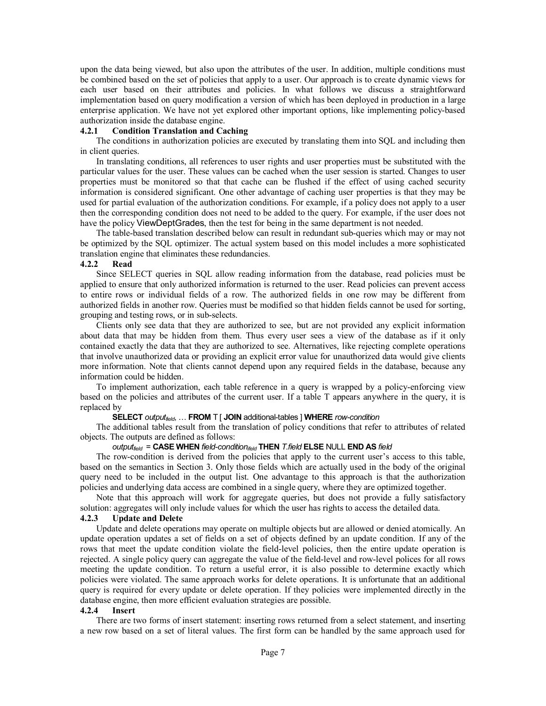upon the data being viewed, but also upon the attributes of the user. In addition, multiple conditions must be combined based on the set of policies that apply to a user. Our approach is to create dynamic views for each user based on their attributes and policies. In what follows we discuss a straightforward implementation based on query modification a version of which has been deployed in production in a large enterprise application. We have not yet explored other important options, like implementing policy-based authorization inside the database engine.

# **4.2.1 Condition Translation and Caching**

The conditions in authorization policies are executed by translating them into SQL and including then in client queries.

In translating conditions, all references to user rights and user properties must be substituted with the particular values for the user. These values can be cached when the user session is started. Changes to user properties must be monitored so that that cache can be flushed if the effect of using cached security information is considered significant. One other advantage of caching user properties is that they may be used for partial evaluation of the authorization conditions. For example, if a policy does not apply to a user then the corresponding condition does not need to be added to the query. For example, if the user does not have the policy ViewDeptGrades, then the test for being in the same department is not needed.

The table-based translation described below can result in redundant sub-queries which may or may not be optimized by the SQL optimizer. The actual system based on this model includes a more sophisticated translation engine that eliminates these redundancies.

# **4.2.2 Read**

Since SELECT queries in SQL allow reading information from the database, read policies must be applied to ensure that only authorized information is returned to the user. Read policies can prevent access to entire rows or individual fields of a row. The authorized fields in one row may be different from authorized fields in another row. Queries must be modified so that hidden fields cannot be used for sorting, grouping and testing rows, or in sub-selects.

Clients only see data that they are authorized to see, but are not provided any explicit information about data that may be hidden from them. Thus every user sees a view of the database as if it only contained exactly the data that they are authorized to see. Alternatives, like rejecting complete operations that involve unauthorized data or providing an explicit error value for unauthorized data would give clients more information. Note that clients cannot depend upon any required fields in the database, because any information could be hidden.

To implement authorization, each table reference in a query is wrapped by a policy-enforcing view based on the policies and attributes of the current user. If a table T appears anywhere in the query, it is replaced by

# **SELECT** *outputfield*, … **FROM** T [ **JOIN** additional-tables ] **WHERE** *row-condition*

The additional tables result from the translation of policy conditions that refer to attributes of related objects. The outputs are defined as follows:

# *outputfield* = **CASE WHEN** *field-conditionifeld* **THEN** *T.field* **ELSE** NULL **END AS** *field*

The row-condition is derived from the policies that apply to the current user's access to this table, based on the semantics in Section 3. Only those fields which are actually used in the body of the original query need to be included in the output list. One advantage to this approach is that the authorization policies and underlying data access are combined in a single query, where they are optimized together.

Note that this approach will work for aggregate queries, but does not provide a fully satisfactory solution: aggregates will only include values for which the user has rights to access the detailed data.

#### **4.2.3 Update and Delete**

Update and delete operations may operate on multiple objects but are allowed or denied atomically. An update operation updates a set of fields on a set of objects defined by an update condition. If any of the rows that meet the update condition violate the field-level policies, then the entire update operation is rejected. A single policy query can aggregate the value of the field-level and row-level polices for all rows meeting the update condition. To return a useful error, it is also possible to determine exactly which policies were violated. The same approach works for delete operations. It is unfortunate that an additional query is required for every update or delete operation. If they policies were implemented directly in the database engine, then more efficient evaluation strategies are possible.

#### **4.2.4 Insert**

There are two forms of insert statement: inserting rows returned from a select statement, and inserting a new row based on a set of literal values. The first form can be handled by the same approach used for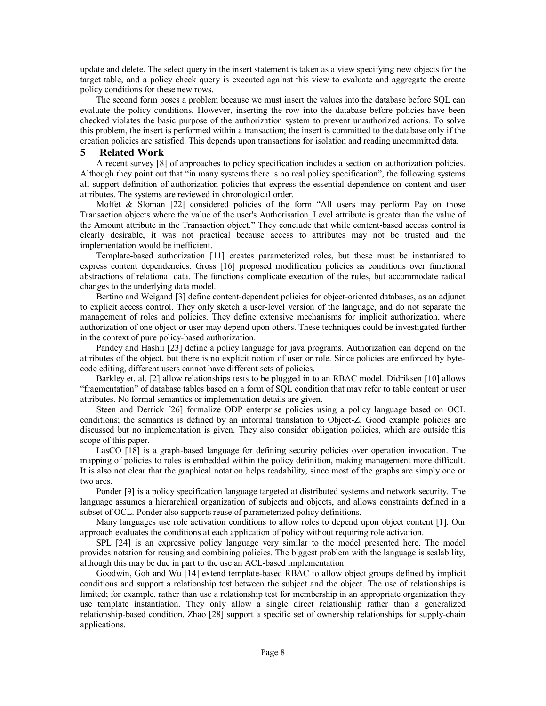update and delete. The select query in the insert statement is taken as a view specifying new objects for the target table, and a policy check query is executed against this view to evaluate and aggregate the create policy conditions for these new rows.

The second form poses a problem because we must insert the values into the database before SQL can evaluate the policy conditions. However, inserting the row into the database before policies have been checked violates the basic purpose of the authorization system to prevent unauthorized actions. To solve this problem, the insert is performed within a transaction; the insert is committed to the database only if the creation policies are satisfied. This depends upon transactions for isolation and reading uncommitted data.

## **5 Related Work**

A recent survey [8] of approaches to policy specification includes a section on authorization policies. Although they point out that "in many systems there is no real policy specification", the following systems all support definition of authorization policies that express the essential dependence on content and user attributes. The systems are reviewed in chronological order.

Moffet & Sloman [22] considered policies of the form "All users may perform Pay on those Transaction objects where the value of the user's Authorisation\_Level attribute is greater than the value of the Amount attribute in the Transaction object." They conclude that while content-based access control is clearly desirable, it was not practical because access to attributes may not be trusted and the implementation would be inefficient.

Template-based authorization [11] creates parameterized roles, but these must be instantiated to express content dependencies. Gross [16] proposed modification policies as conditions over functional abstractions of relational data. The functions complicate execution of the rules, but accommodate radical changes to the underlying data model.

Bertino and Weigand [3] define content-dependent policies for object-oriented databases, as an adjunct to explicit access control. They only sketch a user-level version of the language, and do not separate the management of roles and policies. They define extensive mechanisms for implicit authorization, where authorization of one object or user may depend upon others. These techniques could be investigated further in the context of pure policy-based authorization.

Pandey and Hashii [23] define a policy language for java programs. Authorization can depend on the attributes of the object, but there is no explicit notion of user or role. Since policies are enforced by bytecode editing, different users cannot have different sets of policies.

Barkley et. al. [2] allow relationships tests to be plugged in to an RBAC model. Didriksen [10] allows "fragmentation" of database tables based on a form of SQL condition that may refer to table content or user attributes. No formal semantics or implementation details are given.

Steen and Derrick [26] formalize ODP enterprise policies using a policy language based on OCL conditions; the semantics is defined by an informal translation to Object-Z. Good example policies are discussed but no implementation is given. They also consider obligation policies, which are outside this scope of this paper.

LasCO [18] is a graph-based language for defining security policies over operation invocation. The mapping of policies to roles is embedded within the policy definition, making management more difficult. It is also not clear that the graphical notation helps readability, since most of the graphs are simply one or two arcs.

Ponder [9] is a policy specification language targeted at distributed systems and network security. The language assumes a hierarchical organization of subjects and objects, and allows constraints defined in a subset of OCL. Ponder also supports reuse of parameterized policy definitions.

Many languages use role activation conditions to allow roles to depend upon object content [1]. Our approach evaluates the conditions at each application of policy without requiring role activation.

SPL [24] is an expressive policy language very similar to the model presented here. The model provides notation for reusing and combining policies. The biggest problem with the language is scalability, although this may be due in part to the use an ACL-based implementation.

Goodwin, Goh and Wu [14] extend template-based RBAC to allow object groups defined by implicit conditions and support a relationship test between the subject and the object. The use of relationships is limited; for example, rather than use a relationship test for membership in an appropriate organization they use template instantiation. They only allow a single direct relationship rather than a generalized relationship-based condition. Zhao [28] support a specific set of ownership relationships for supply-chain applications.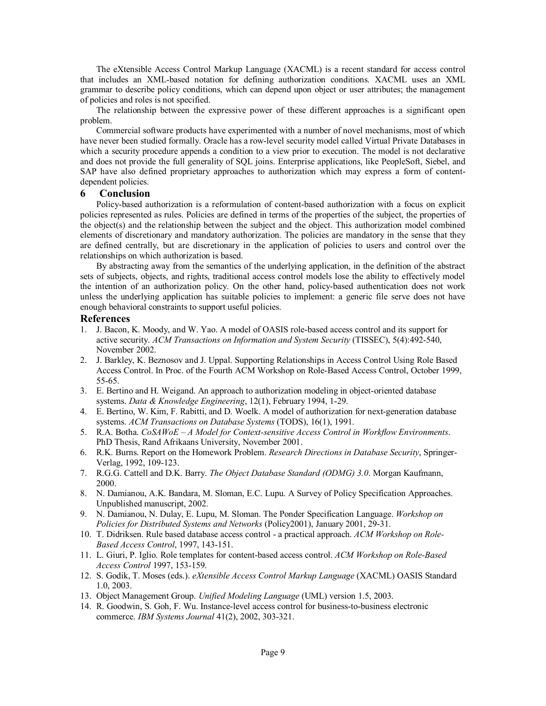The eXtensible Access Control Markup Language (XACML) is a recent standard for access control that includes an XML-based notation for defining authorization conditions. XACML uses an XML grammar to describe policy conditions, which can depend upon object or user attributes; the management of policies and roles is not specified.

The relationship between the expressive power of these different approaches is a significant open problem.

Commercial software products have experimented with a number of novel mechanisms, most of which have never been studied formally. Oracle has a row-level security model called Virtual Private Databases in which a security procedure appends a condition to a view prior to execution. The model is not declarative and does not provide the full generality of SQL joins. Enterprise applications, like PeopleSoft, Siebel, and SAP have also defined proprietary approaches to authorization which may express a form of contentdependent policies.

# **6 Conclusion**

Policy-based authorization is a reformulation of content-based authorization with a focus on explicit policies represented as rules. Policies are defined in terms of the properties of the subject, the properties of the object(s) and the relationship between the subject and the object. This authorization model combined elements of discretionary and mandatory authorization. The policies are mandatory in the sense that they are defined centrally, but are discretionary in the application of policies to users and control over the relationships on which authorization is based.

By abstracting away from the semantics of the underlying application, in the definition of the abstract sets of subjects, objects, and rights, traditional access control models lose the ability to effectively model the intention of an authorization policy. On the other hand, policy-based authentication does not work unless the underlying application has suitable policies to implement: a generic file serve does not have enough behavioral constraints to support useful policies.

## **References**

- 1. J. Bacon, K. Moody, and W. Yao. A model of OASIS role-based access control and its support for active security. *ACM Transactions on Information and System Security* (TISSEC), 5(4):492-540, November 2002.
- 2. J. Barkley, K. Beznosov and J. Uppal. Supporting Relationships in Access Control Using Role Based Access Control. In Proc. of the Fourth ACM Workshop on Role-Based Access Control, October 1999, 55-65.
- 3. E. Bertino and H. Weigand. An approach to authorization modeling in object-oriented database systems. *Data & Knowledge Engineering*, 12(1), February 1994, 1-29.
- 4. E. Bertino, W. Kim, F. Rabitti, and D. Woelk. A model of authorization for next-generation database systems. *ACM Transactions on Database Systems* (TODS), 16(1), 1991.
- 5. R.A. Botha. *CoSAWoE A Model for Context-sensitive Access Control in Workflow Environments*. PhD Thesis, Rand Afrikaans University, November 2001.
- 6. R.K. Burns. Report on the Homework Problem. *Research Directions in Database Security*, Springer-Verlag, 1992, 109-123.
- 7. R.G.G. Cattell and D.K. Barry. *The Object Database Standard (ODMG) 3.0*. Morgan Kaufmann, 2000.
- 8. N. Damianou, A.K. Bandara, M. Sloman, E.C. Lupu. A Survey of Policy Specification Approaches. Unpublished manuscript, 2002.
- 9. N. Damianou, N. Dulay, E. Lupu, M. Sloman. The Ponder Specification Language. *Workshop on Policies for Distributed Systems and Networks* (Policy2001), January 2001, 29-31.
- 10. T. Didriksen. Rule based database access control a practical approach. *ACM Workshop on Role-Based Access Control*, 1997, 143-151.
- 11. L. Giuri, P. Iglio. Role templates for content-based access control. *ACM Workshop on Role-Based Access Control* 1997, 153-159.
- 12. S. Godik, T. Moses (eds.). *eXtensible Access Control Markup Language* (XACML) OASIS Standard 1.0, 2003.
- 13. Object Management Group. *Unified Modeling Language* (UML) version 1.5, 2003.
- 14. R. Goodwin, S. Goh, F. Wu. Instance-level access control for business-to-business electronic commerce. *IBM Systems Journal* 41(2), 2002, 303-321.